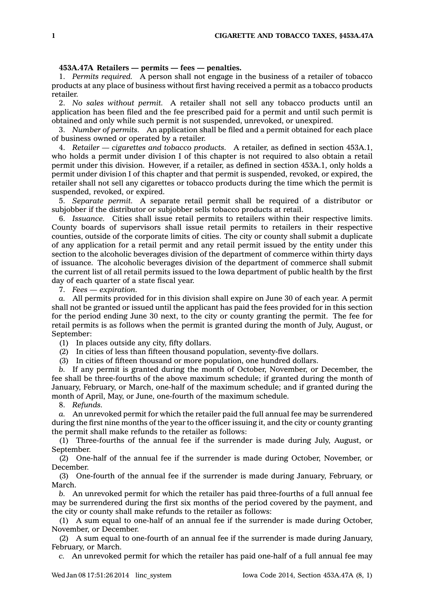## **453A.47A Retailers — permits — fees — penalties.**

1. *Permits required.* A person shall not engage in the business of <sup>a</sup> retailer of tobacco products at any place of business without first having received <sup>a</sup> permit as <sup>a</sup> tobacco products retailer.

2. *No sales without permit.* A retailer shall not sell any tobacco products until an application has been filed and the fee prescribed paid for <sup>a</sup> permit and until such permit is obtained and only while such permit is not suspended, unrevoked, or unexpired.

3. *Number of permits.* An application shall be filed and <sup>a</sup> permit obtained for each place of business owned or operated by <sup>a</sup> retailer.

4. *Retailer — cigarettes and tobacco products.* A retailer, as defined in section 453A.1, who holds <sup>a</sup> permit under division I of this chapter is not required to also obtain <sup>a</sup> retail permit under this division. However, if <sup>a</sup> retailer, as defined in section 453A.1, only holds <sup>a</sup> permit under division I of this chapter and that permit is suspended, revoked, or expired, the retailer shall not sell any cigarettes or tobacco products during the time which the permit is suspended, revoked, or expired.

5. *Separate permit.* A separate retail permit shall be required of <sup>a</sup> distributor or subjobber if the distributor or subjobber sells tobacco products at retail.

6. *Issuance.* Cities shall issue retail permits to retailers within their respective limits. County boards of supervisors shall issue retail permits to retailers in their respective counties, outside of the corporate limits of cities. The city or county shall submit <sup>a</sup> duplicate of any application for <sup>a</sup> retail permit and any retail permit issued by the entity under this section to the alcoholic beverages division of the department of commerce within thirty days of issuance. The alcoholic beverages division of the department of commerce shall submit the current list of all retail permits issued to the Iowa department of public health by the first day of each quarter of <sup>a</sup> state fiscal year.

7. *Fees — expiration.*

*a.* All permits provided for in this division shall expire on June 30 of each year. A permit shall not be granted or issued until the applicant has paid the fees provided for in this section for the period ending June 30 next, to the city or county granting the permit. The fee for retail permits is as follows when the permit is granted during the month of July, August, or September:

(1) In places outside any city, fifty dollars.

(2) In cities of less than fifteen thousand population, seventy-five dollars.

(3) In cities of fifteen thousand or more population, one hundred dollars.

*b.* If any permit is granted during the month of October, November, or December, the fee shall be three-fourths of the above maximum schedule; if granted during the month of January, February, or March, one-half of the maximum schedule; and if granted during the month of April, May, or June, one-fourth of the maximum schedule.

8. *Refunds.*

*a.* An unrevoked permit for which the retailer paid the full annual fee may be surrendered during the first nine months of the year to the officer issuing it, and the city or county granting the permit shall make refunds to the retailer as follows:

(1) Three-fourths of the annual fee if the surrender is made during July, August, or September.

(2) One-half of the annual fee if the surrender is made during October, November, or December.

(3) One-fourth of the annual fee if the surrender is made during January, February, or March.

*b.* An unrevoked permit for which the retailer has paid three-fourths of <sup>a</sup> full annual fee may be surrendered during the first six months of the period covered by the payment, and the city or county shall make refunds to the retailer as follows:

(1) A sum equal to one-half of an annual fee if the surrender is made during October, November, or December.

(2) A sum equal to one-fourth of an annual fee if the surrender is made during January, February, or March.

*c.* An unrevoked permit for which the retailer has paid one-half of <sup>a</sup> full annual fee may